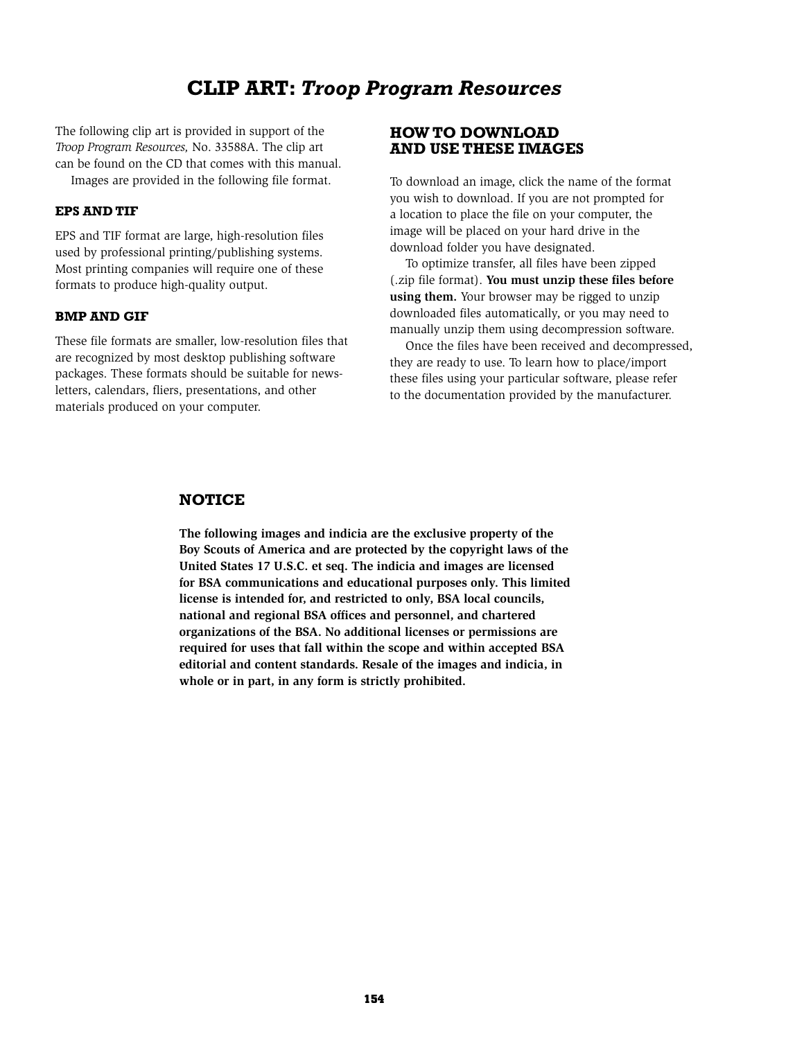## **Clip Art:** *Troop Program Resources*

The following clip art is provided in support of the *Troop Program Resources,* No. 33588A. The clip art can be found on the CD that comes with this manual. Images are provided in the following file format.

**EPS and TIF**

EPS and TIF format are large, high-resolution files used by professional printing/publishing systems. Most printing companies will require one of these formats to produce high-quality output.

## **BMP and GIF**

These file formats are smaller, low-resolution files that are recognized by most desktop publishing software packages. These formats should be suitable for newsletters, calendars, fliers, presentations, and other materials produced on your computer.

## **How to Download and Use These Images**

To download an image, click the name of the format you wish to download. If you are not prompted for a location to place the file on your computer, the image will be placed on your hard drive in the download folder you have designated.

To optimize transfer, all files have been zipped (.zip file format). **You must unzip these files before using them.** Your browser may be rigged to unzip downloaded files automatically, or you may need to manually unzip them using decompression software.

Once the files have been received and decompressed, they are ready to use. To learn how to place/import these files using your particular software, please refer to the documentation provided by the manufacturer.

## **Notice**

**The following images and indicia are the exclusive property of the Boy Scouts of America and are protected by the copyright laws of the United States 17 U.S.C. et seq. The indicia and images are licensed for BSA communications and educational purposes only. This limited license is intended for, and restricted to only, BSA local councils, national and regional BSA offices and personnel, and chartered organizations of the BSA. No additional licenses or permissions are required for uses that fall within the scope and within accepted BSA editorial and content standards. Resale of the images and indicia, in whole or in part, in any form is strictly prohibited.**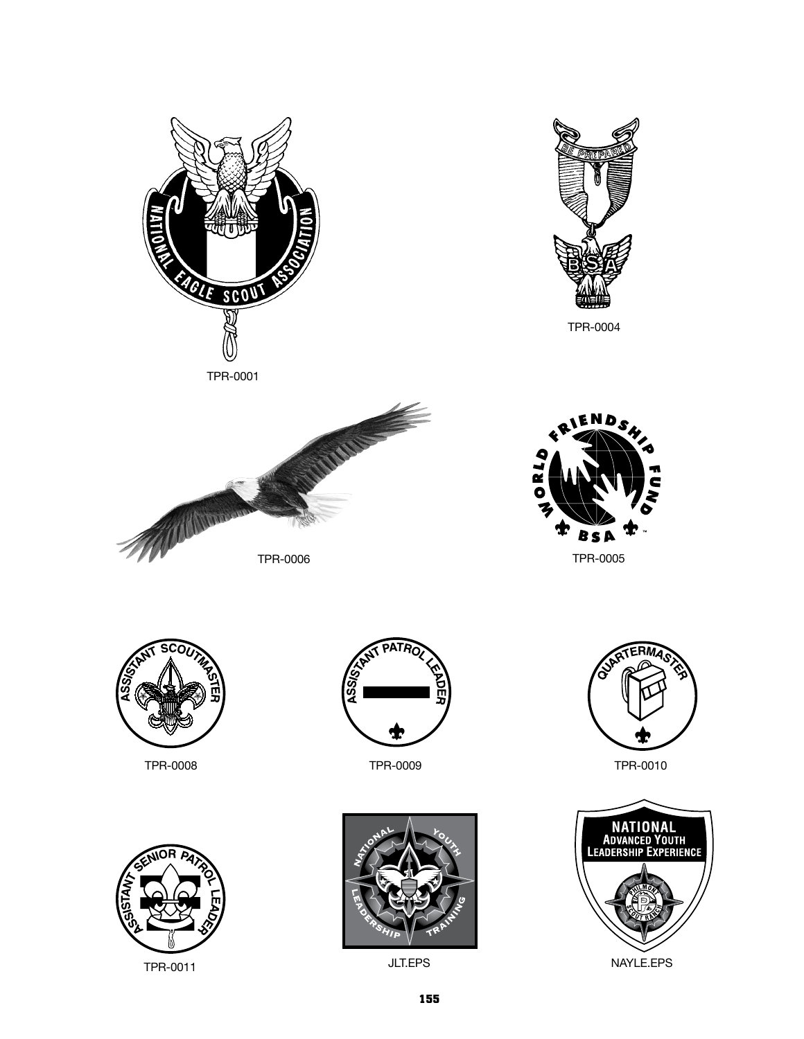



TPR-0004









TPR-0011 NAYLE.EPS



TPR-0008 TPR-0009



JLT.EPS



TPR-0010

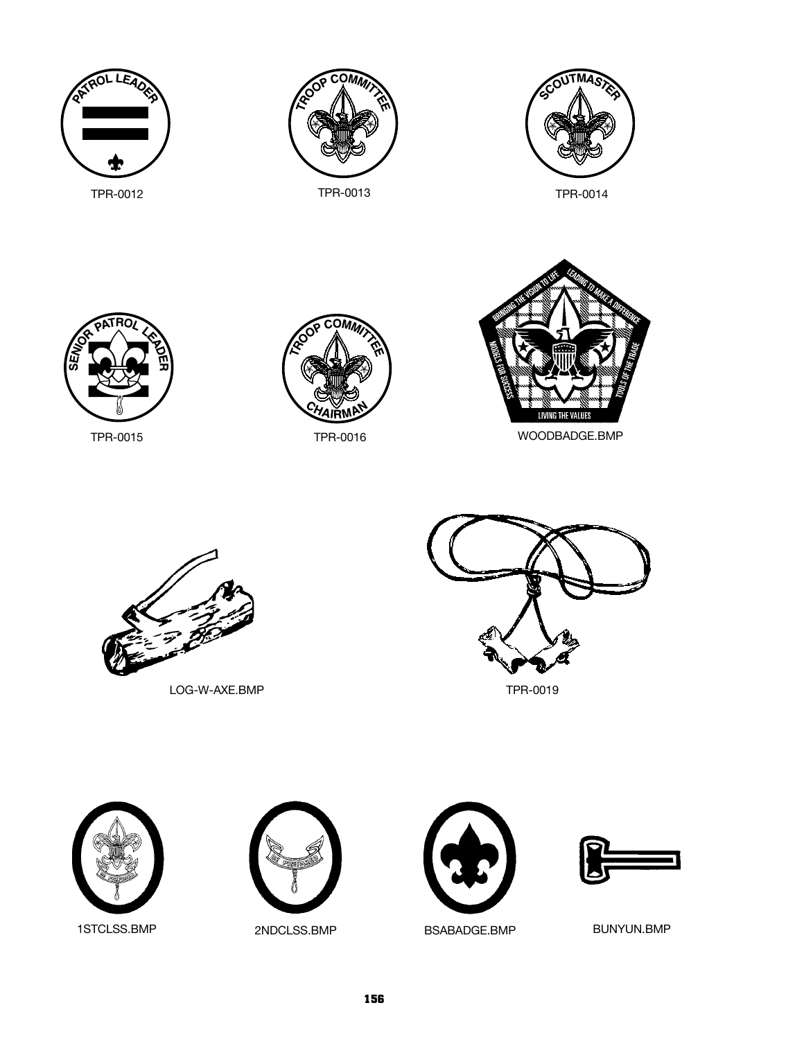







TPR-0015 TPR-0016 WOODBADGE.BMP



LOG-W-AXE.BMP TPR-0019







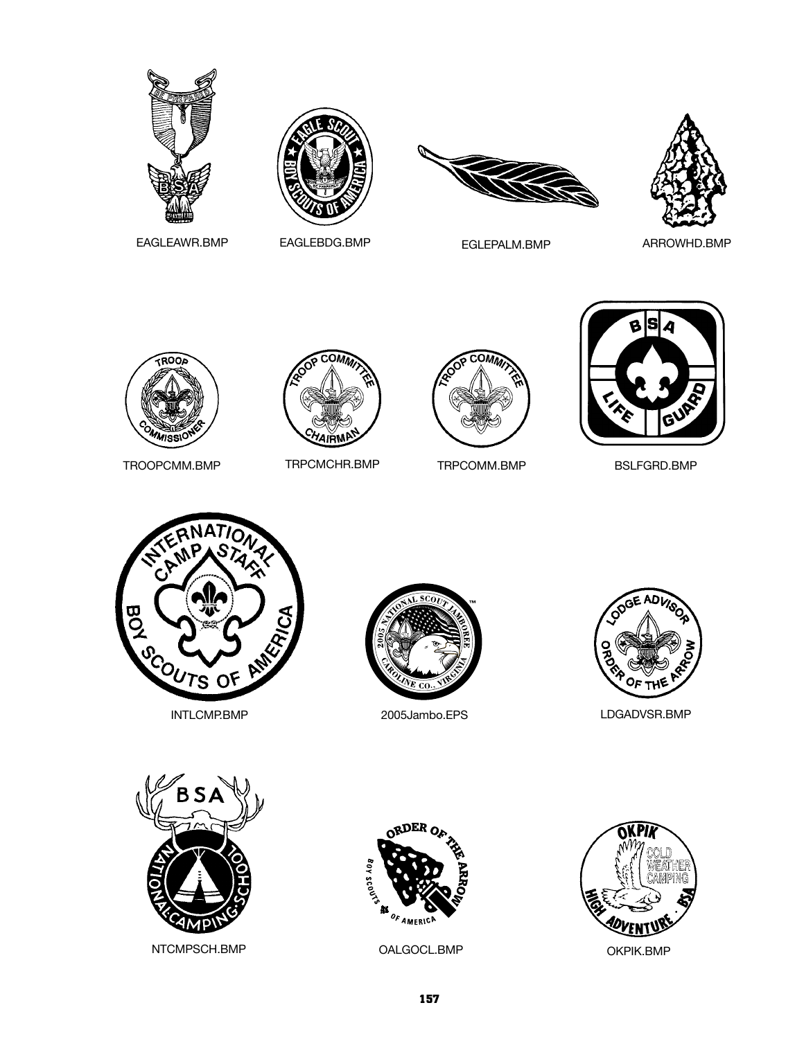







EAGLEAWR.BMP EAGLEBDG.BMP EGLEPALM.BMP

ARROWHD.BMP



TROOPCMM.BMP TRPCMCHR.BMP







TRPCOMM.BMP BSLFGRD.BMP











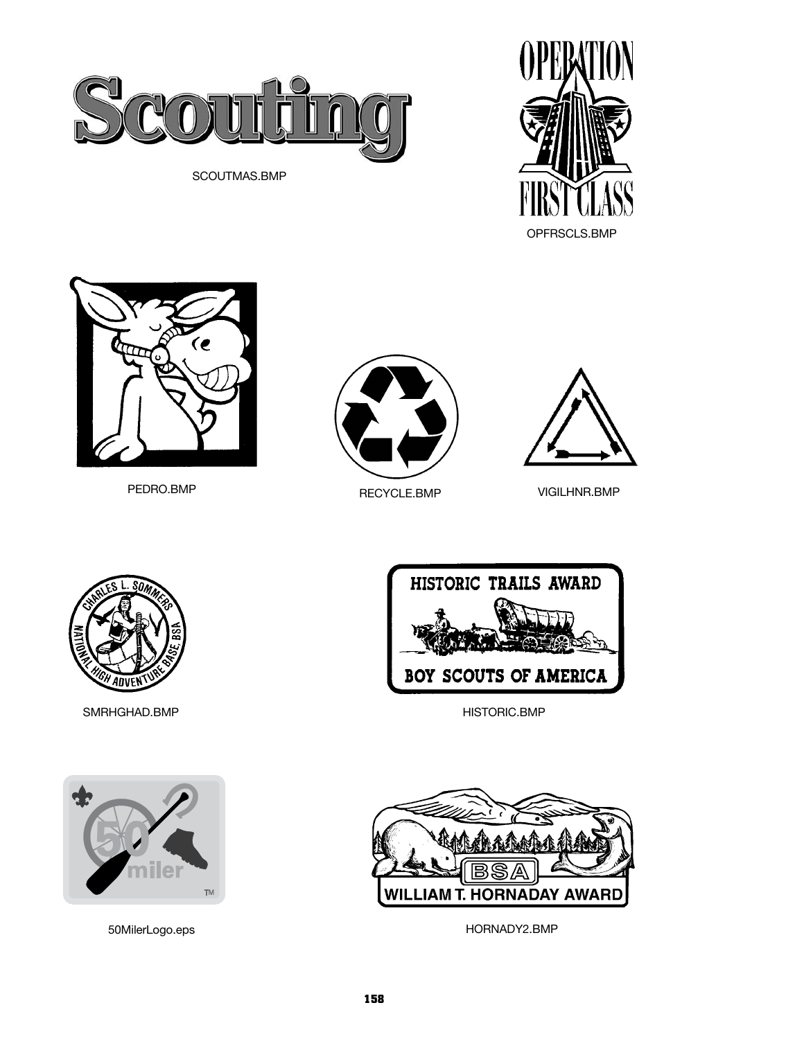

SCOUTMAS.BMP









VIGILHNR.BMP



SMRHGHAD.BMP



50MilerLogo.eps



HISTORIC.BMP



HORNADY2.BMP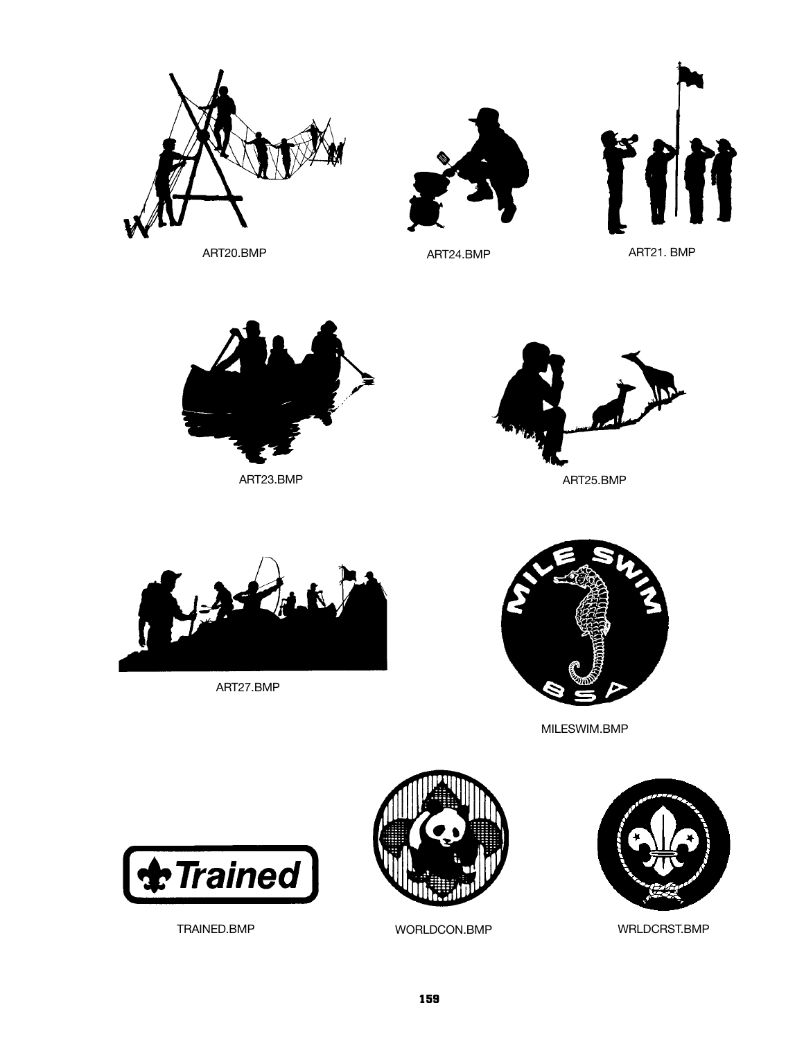



ART24.BMP



ART23.BMP





ART27.BMP



MILESWIM.BMP





TRAINED.BMP WORLDCON.BMP WRLDCRST.BMP